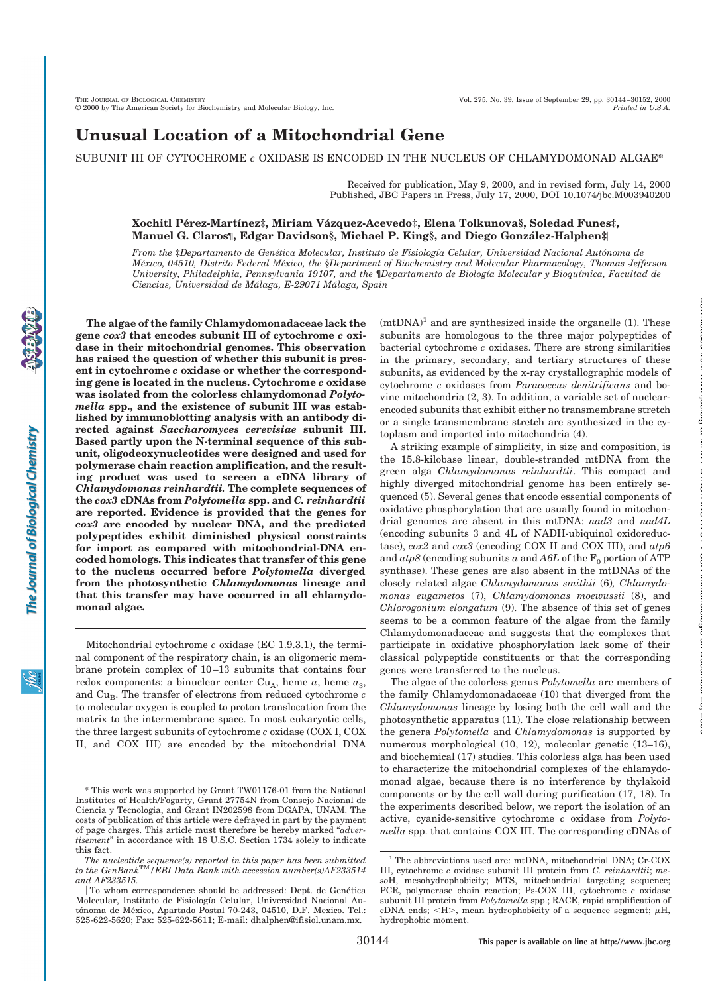# **Unusual Location of a Mitochondrial Gene**

## SUBUNIT III OF CYTOCHROME *c* OXIDASE IS ENCODED IN THE NUCLEUS OF CHLAMYDOMONAD ALGAE\*

Received for publication, May 9, 2000, and in revised form, July 14, 2000 Published, JBC Papers in Press, July 17, 2000, DOI 10.1074/jbc.M003940200

### **Xochitl Pe´rez-Martı´nez‡, Miriam Va´ zquez-Acevedo‡, Elena Tolkunova§, Soledad Funes‡, Manuel G. Claros¶, Edgar Davidson§, Michael P. King§, and Diego Gonza´lez-Halphen‡**!

*From the* ‡*Departamento de Gene´tica Molecular, Instituto de Fisiologı´a Celular, Universidad Nacional Auto´noma de Me´xico, 04510, Distrito Federal Me´xico, the* §*Department of Biochemistry and Molecular Pharmacology, Thomas Jefferson University, Philadelphia, Pennsylvania 19107, and the* ¶*Departamento de Biologı´a Molecular y Bioquı´mica, Facultad de Ciencias, Universidad de Ma´laga, E-29071 Ma´laga, Spain*

**gene** *cox3* **that encodes subunit III of cytochrome** *c* **oxidase in their mitochondrial genomes. This observation has raised the question of whether this subunit is present in cytochrome** *c* **oxidase or whether the corresponding gene is located in the nucleus. Cytochrome** *c* **oxidase was isolated from the colorless chlamydomonad** *Polytomella* **spp., and the existence of subunit III was established by immunoblotting analysis with an antibody directed against** *Saccharomyces cerevisiae* **subunit III. Based partly upon the N-terminal sequence of this subunit, oligodeoxynucleotides were designed and used for polymerase chain reaction amplification, and the resulting product was used to screen a cDNA library of** *Chlamydomonas reinhardtii.* **The complete sequences of the** *cox3* **cDNAs from** *Polytomella* **spp. and** *C. reinhardtii* **are reported. Evidence is provided that the genes for** *cox3* **are encoded by nuclear DNA, and the predicted polypeptides exhibit diminished physical constraints for import as compared with mitochondrial-DNA encoded homologs. This indicates that transfer of this gene to the nucleus occurred before** *Polytomella* **diverged from the photosynthetic** *Chlamydomonas* **lineage and that this transfer may have occurred in all chlamydomonad algae.**

**The algae of the family Chlamydomonadaceae lack the**

Mitochondrial cytochrome *c* oxidase (EC 1.9.3.1), the terminal component of the respiratory chain, is an oligomeric membrane protein complex of 10–13 subunits that contains four redox components: a binuclear center  $Cu<sub>A</sub>$ , heme  $a<sub>3</sub>$ , and Cu<sub>B</sub>. The transfer of electrons from reduced cytochrome *c* to molecular oxygen is coupled to proton translocation from the matrix to the intermembrane space. In most eukaryotic cells, the three largest subunits of cytochrome *c* oxidase (COX I, COX II, and COX III) are encoded by the mitochondrial DNA  $(mtDNA)^1$  and are synthesized inside the organelle (1). These subunits are homologous to the three major polypeptides of bacterial cytochrome *c* oxidases. There are strong similarities in the primary, secondary, and tertiary structures of these subunits, as evidenced by the x-ray crystallographic models of cytochrome *c* oxidases from *Paracoccus denitrificans* and bovine mitochondria (2, 3). In addition, a variable set of nuclearencoded subunits that exhibit either no transmembrane stretch or a single transmembrane stretch are synthesized in the cytoplasm and imported into mitochondria (4).

A striking example of simplicity, in size and composition, is the 15.8-kilobase linear, double-stranded mtDNA from the green alga *Chlamydomonas reinhardtii*. This compact and highly diverged mitochondrial genome has been entirely sequenced (5). Several genes that encode essential components of oxidative phosphorylation that are usually found in mitochondrial genomes are absent in this mtDNA: *nad3* and *nad4L* (encoding subunits 3 and 4L of NADH-ubiquinol oxidoreductase), *cox2* and *cox3* (encoding COX II and COX III), and *atp6* and  $\alpha$ tp8 (encoding subunits a and  $A6L$  of the  $F_0$  portion of ATP synthase). These genes are also absent in the mtDNAs of the closely related algae *Chlamydomonas smithii* (6)*, Chlamydomonas eugametos* (7), *Chlamydomonas moewussii* (8), and *Chlorogonium elongatum* (9). The absence of this set of genes seems to be a common feature of the algae from the family Chlamydomonadaceae and suggests that the complexes that participate in oxidative phosphorylation lack some of their classical polypeptide constituents or that the corresponding genes were transferred to the nucleus.

at MAX PLANCK INSTITUT FUeR Immunbiologie on December 20, 2006 www.jbc.org Downloaded from

The algae of the colorless genus *Polytomella* are members of the family Chlamydomonadaceae (10) that diverged from the *Chlamydomonas* lineage by losing both the cell wall and the photosynthetic apparatus (11). The close relationship between the genera *Polytomella* and *Chlamydomonas* is supported by numerous morphological (10, 12), molecular genetic (13–16), and biochemical (17) studies. This colorless alga has been used to characterize the mitochondrial complexes of the chlamydomonad algae, because there is no interference by thylakoid components or by the cell wall during purification (17, 18). In the experiments described below, we report the isolation of an active, cyanide-sensitive cytochrome *c* oxidase from *Polytomella* spp. that contains COX III. The corresponding cDNAs of

<sup>\*</sup> This work was supported by Grant TW01176-01 from the National Institutes of Health/Fogarty, Grant 27754N from Consejo Nacional de Ciencia y Tecnologia, and Grant IN202598 from DGAPA, UNAM. The costs of publication of this article were defrayed in part by the payment of page charges. This article must therefore be hereby marked "*advertisement*" in accordance with 18 U.S.C. Section 1734 solely to indicate this fact.

The nucleotide sequence(s) reported in this paper has been submitted<br>to the GenBank™/EBI Data Bank with accession number(s)AF233514 *and AF233515.*

<sup>||</sup> To whom correspondence should be addressed: Dept. de Genética Molecular, Instituto de Fisiología Celular, Universidad Nacional Autónoma de México, Apartado Postal 70-243, 04510, D.F. Mexico. Tel.: 525-622-5620; Fax: 525-622-5611; E-mail: dhalphen@ifisiol.unam.mx.

<sup>1</sup> The abbreviations used are: mtDNA, mitochondrial DNA; Cr-COX III, cytochrome *c* oxidase subunit III protein from *C. reinhardtii*; *meso*H, mesohydrophobicity; MTS, mitochondrial targeting sequence; PCR, polymerase chain reaction; Ps-COX III, cytochrome *c* oxidase subunit III protein from *Polytomella* spp.; RACE, rapid amplification of cDNA ends;  $\langle H \rangle$ , mean hydrophobicity of a sequence segment;  $\mu$ H, hydrophobic moment.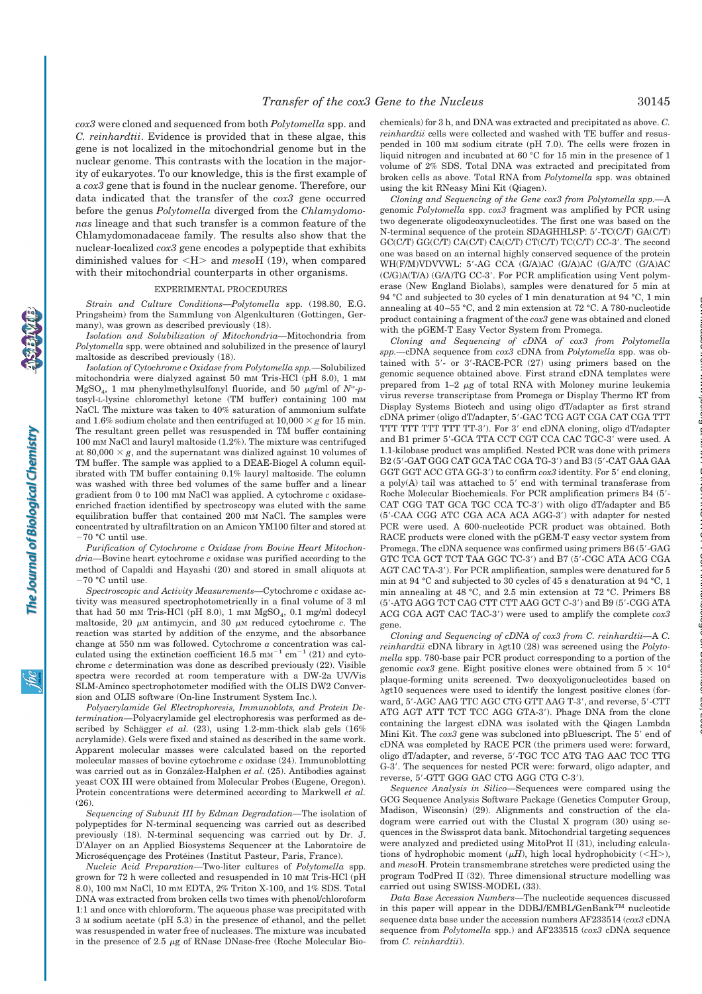*cox3* were cloned and sequenced from both *Polytomella* spp. and *C. reinhardtii*. Evidence is provided that in these algae, this gene is not localized in the mitochondrial genome but in the nuclear genome. This contrasts with the location in the majority of eukaryotes. To our knowledge, this is the first example of a *cox3* gene that is found in the nuclear genome. Therefore, our data indicated that the transfer of the *cox3* gene occurred before the genus *Polytomella* diverged from the *Chlamydomonas* lineage and that such transfer is a common feature of the Chlamydomonadaceae family. The results also show that the nuclear-localized *cox3* gene encodes a polypeptide that exhibits diminished values for <H> and *meso*H (19), when compared with their mitochondrial counterparts in other organisms.

### EXPERIMENTAL PROCEDURES

*Strain and Culture Conditions—Polytomella* spp. (198.80, E.G. Pringsheim) from the Sammlung von Algenkulturen (Gottingen, Germany), was grown as described previously (18).

*Isolation and Solubilization of Mitochondria—*Mitochondria from *Polytomella* spp. were obtained and solubilized in the presence of lauryl maltoside as described previously (18).

*Isolation of Cytochrome c Oxidase from Polytomella spp.—*Solubilized mitochondria were dialyzed against 50 mM Tris-HCl (pH 8.0), 1 mM  $MgSO_4$ , 1 mM phenylmethylsulfonyl fluoride, and 50  $\mu$ g/ml of  $N^{\alpha}$ -ptosyl-L-lysine chloromethyl ketone (TM buffer) containing 100 mM NaCl. The mixture was taken to 40% saturation of ammonium sulfate and 1.6% sodium cholate and then centrifuged at  $10,000 \times g$  for 15 min. The resultant green pellet was resuspended in TM buffer containing 100 mM NaCl and lauryl maltoside (1.2%). The mixture was centrifuged at  $80,000 \times g$ , and the supernatant was dialized against 10 volumes of TM buffer. The sample was applied to a DEAE-Biogel A column equilibrated with TM buffer containing 0.1% lauryl maltoside. The column was washed with three bed volumes of the same buffer and a linear gradient from 0 to 100 mM NaCl was applied. A cytochrome *c* oxidaseenriched fraction identified by spectroscopy was eluted with the same equilibration buffer that contained 200 mM NaCl. The samples were concentrated by ultrafiltration on an Amicon YM100 filter and stored at  $-70$  °C until use.

*Purification of Cytochrome c Oxidase from Bovine Heart Mitochondria—*Bovine heart cytochrome *c* oxidase was purified according to the method of Capaldi and Hayashi (20) and stored in small aliquots at -70 °C until use.

*Spectroscopic and Activity Measurements—*Cytochrome *c* oxidase activity was measured spectrophotometrically in a final volume of 3 ml that had 50 mm Tris-HCl (pH 8.0), 1 mm  $MgSO_4$ , 0.1 mg/ml dodecyl maltoside, 20  $\mu$ M antimycin, and 30  $\mu$ M reduced cytochrome *c*. The reaction was started by addition of the enzyme, and the absorbance change at 550 nm was followed. Cytochrome *a* concentration was calculated using the extinction coefficient  $16.5 \text{ mm}^{-1} \text{ cm}^{-1}$  (21) and cytochrome *c* determination was done as described previously (22). Visible spectra were recorded at room temperature with a DW-2a UV/Vis SLM-Aminco spectrophotometer modified with the OLIS DW2 Conversion and OLIS software (On-line Instrument System Inc.).

*Polyacrylamide Gel Electrophoresis, Immunoblots, and Protein Determination—*Polyacrylamide gel electrophoresis was performed as described by Schägger *et al.* (23), using 1.2-mm-thick slab gels (16%) acrylamide). Gels were fixed and stained as described in the same work. Apparent molecular masses were calculated based on the reported molecular masses of bovine cytochrome *c* oxidase (24). Immunoblotting was carried out as in González-Halphen *et al.* (25). Antibodies against yeast COX III were obtained from Molecular Probes (Eugene, Oregon). Protein concentrations were determined according to Markwell *et al.* (26).

*Sequencing of Subunit III by Edman Degradation—*The isolation of polypeptides for N-terminal sequencing was carried out as described previously (18). N-terminal sequencing was carried out by Dr. J. D'Alayer on an Applied Biosystems Sequencer at the Laboratoire de Microséquençage des Protéines (Institut Pasteur, Paris, France).

*Nucleic Acid Preparation—*Two-liter cultures of *Polytomella* spp. grown for 72 h were collected and resuspended in 10 mM Tris-HCl (pH 8.0), 100 mM NaCl, 10 mM EDTA, 2% Triton X-100, and 1% SDS. Total DNA was extracted from broken cells two times with phenol/chloroform 1:1 and once with chloroform. The aqueous phase was precipitated with 3 M sodium acetate (pH 5.3) in the presence of ethanol, and the pellet was resuspended in water free of nucleases. The mixture was incubated in the presence of 2.5  $\mu$ g of RNase DNase-free (Roche Molecular Biochemicals) for 3 h, and DNA was extracted and precipitated as above. *C. reinhardtii* cells were collected and washed with TE buffer and resuspended in 100 mM sodium citrate (pH 7.0). The cells were frozen in liquid nitrogen and incubated at 60 °C for 15 min in the presence of 1 volume of 2% SDS. Total DNA was extracted and precipitated from broken cells as above. Total RNA from *Polytomella* spp. was obtained using the kit RNeasy Mini Kit (Qiagen).

*Cloning and Sequencing of the Gene cox3 from Polytomella spp.—*A genomic *Polytomella* spp. *cox3* fragment was amplified by PCR using two degenerate oligodeoxynucleotides. The first one was based on the N-terminal sequence of the protein SDAGHHLSP: 5'-TC(C/T) GA(C/T)  $GCC(T) GGC(T) CA(C/T) CA(C/T) CTC(T) CTC(T) TCC(T) CC-3'$ . The second one was based on an internal highly conserved sequence of the protein WH(F/M)VDVVWL: 5%-AG CCA (G/A)AC (G/A)AC (G/A)TC (G/A)AC (C/G)A(T/A) (G/A)TG CC-3'. For PCR amplification using Vent polymerase (New England Biolabs), samples were denatured for 5 min at 94 °C and subjected to 30 cycles of 1 min denaturation at 94 °C, 1 min annealing at 40–55 °C, and 2 min extension at 72 °C. A 780-nucleotide product containing a fragment of the *cox3* gene was obtained and cloned with the pGEM-T Easy Vector System from Promega.

*Cloning and Sequencing of cDNA of cox3 from Polytomella spp.—*cDNA sequence from *cox3* cDNA from *Polytomella* spp. was obtained with 5'- or 3'-RACE-PCR (27) using primers based on the genomic sequence obtained above. First strand cDNA templates were prepared from  $1-2 \mu g$  of total RNA with Moloney murine leukemia virus reverse transcriptase from Promega or Display Thermo RT from Display Systems Biotech and using oligo dT/adapter as first strand cDNA primer (oligo dT/adapter, 5'-GAC TCG AGT CGA CAT CGA TTT TTT TTT TTT TTT TT-3%). For 3% end cDNA cloning, oligo dT/adapter and B1 primer 5'-GCA TTA CCT CGT CCA CAC TGC-3' were used. A 1.1-kilobase product was amplified. Nested PCR was done with primers B2 (5'-GAT GGG CAT GCA TAC CGA TG-3') and B3 (5'-CAT GAA GAA GGT GGT ACC GTA GG-3') to confirm  $cox3$  identity. For 5' end cloning, a poly(A) tail was attached to  $5'$  end with terminal transferase from Roche Molecular Biochemicals. For PCR amplification primers B4 (5'-CAT CGG TAT GCA TGC CCA TC-3') with oligo dT/adapter and B5 (5'-CAA CGG ATC CGA ACA ACA AGG-3') with adapter for nested PCR were used. A 600-nucleotide PCR product was obtained. Both RACE products were cloned with the pGEM-T easy vector system from Promega. The cDNA sequence was confirmed using primers B6 (5'-GAG GTC TCA GCT TCT TAA GGC TC-3') and B7 (5'-CGC ATA ACG CGA AGT CAC TA-3'). For PCR amplification, samples were denatured for 5 min at 94 °C and subjected to 30 cycles of 45 s denaturation at 94 °C, 1 min annealing at 48 °C, and 2.5 min extension at 72 °C. Primers B8 (5'-ATG AGG TCT CAG CTT CTT AAG GCT C-3') and B9 (5'-CGG ATA ACG CGA AGT CAC TAC-3') were used to amplify the complete  $cox3$ gene.

*Cloning and Sequencing of cDNA of cox3 from C. reinhardtii—*A *C. reinhardtii* cDNA library in λgt10 (28) was screened using the *Polytomella* spp. 780-base pair PCR product corresponding to a portion of the genomic *cox3* gene. Eight positive clones were obtained from  $5 \times 10^4$ plaque-forming units screened. Two deoxyoligonucleotides based on  $\lambda$ gt10 sequences were used to identify the longest positive clones (forward, 5'-AGC AAG TTC AGC CTG GTT AAG T-3', and reverse, 5'-CTT ATG AGT ATT TCT TCC AGG GTA-3'). Phage DNA from the clone containing the largest cDNA was isolated with the Qiagen Lambda Mini Kit. The *cox3* gene was subcloned into pBluescript. The 5' end of cDNA was completed by RACE PCR (the primers used were: forward, oligo dT/adapter, and reverse, 5'-TGC TCC ATG TAG AAC TCC TTG G-3%. The sequences for nested PCR were: forward, oligo adapter, and reverse, 5'-GTT GGG GAC CTG AGG CTG C-3').

*Sequence Analysis in Silico—*Sequences were compared using the GCG Sequence Analysis Software Package (Genetics Computer Group, Madison, Wisconsin) (29). Alignments and construction of the cladogram were carried out with the Clustal X program (30) using sequences in the Swissprot data bank. Mitochondrial targeting sequences were analyzed and predicted using MitoProt II (31), including calculations of hydrophobic moment ( $\mu$ *H*), high local hydrophobicity (<H>), and *meso*H. Protein transmembrane stretches were predicted using the program TodPred II (32). Three dimensional structure modelling was carried out using SWISS-MODEL (33).

*Data Base Accession Numbers—*The nucleotide sequences discussed in this paper will appear in the DDBJ/EMBL/GenBank<sup>TM</sup> nucleotide sequence data base under the accession numbers AF233514 (*cox3* cDNA sequence from *Polytomella* spp.) and AF233515 (*cox3* cDNA sequence from *C. reinhardtii*).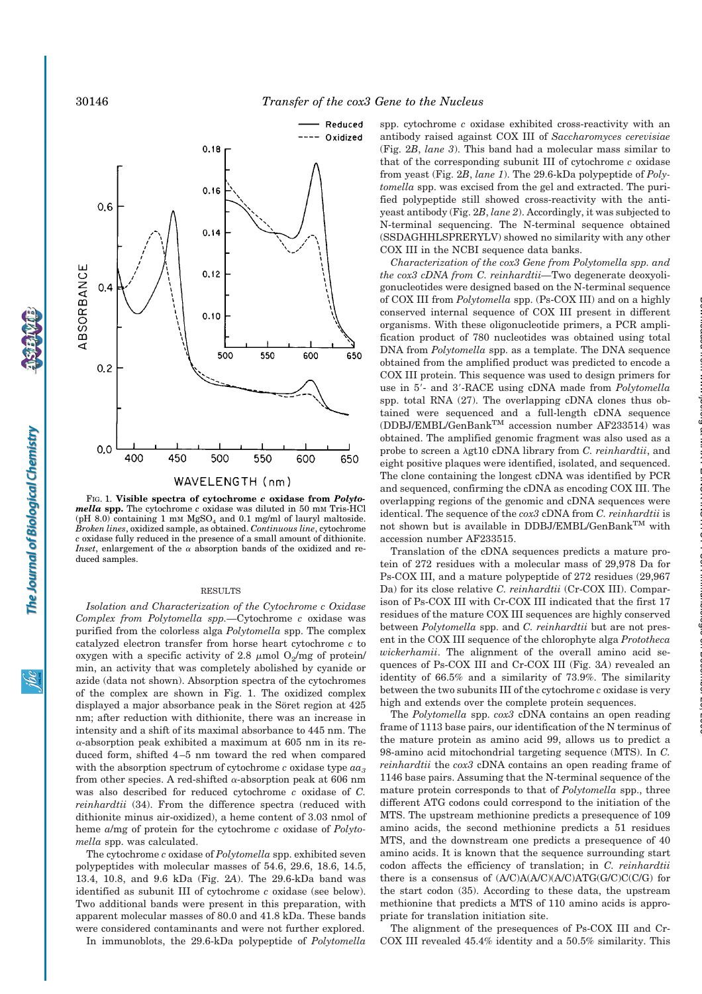

FIG. 1. **Visible spectra of cytochrome** *c* **oxidase from** *Polytomella* **spp.** The cytochrome *c* oxidase was diluted in 50 mM Tris-HCl (pH 8.0) containing 1 mM  $MgSO<sub>4</sub>$  and 0.1 mg/ml of lauryl maltoside. *Broken lines*, oxidized sample, as obtained. *Continuous line*, cytochrome *c* oxidase fully reduced in the presence of a small amount of dithionite. *Inset*, enlargement of the  $\alpha$  absorption bands of the oxidized and reduced samples.

#### RESULTS

*Isolation and Characterization of the Cytochrome c Oxidase Complex from Polytomella spp.—*Cytochrome *c* oxidase was purified from the colorless alga *Polytomella* spp. The complex catalyzed electron transfer from horse heart cytochrome *c* to oxygen with a specific activity of 2.8  $\mu$ mol O<sub>2</sub>/mg of protein/ min, an activity that was completely abolished by cyanide or azide (data not shown). Absorption spectra of the cytochromes of the complex are shown in Fig. 1. The oxidized complex displayed a major absorbance peak in the Söret region at 425 nm; after reduction with dithionite, there was an increase in intensity and a shift of its maximal absorbance to 445 nm. The  $\alpha$ -absorption peak exhibited a maximum at 605 nm in its reduced form, shifted 4–5 nm toward the red when compared with the absorption spectrum of cytochrome  $c$  oxidase type  $aa_3$ from other species. A red-shifted  $\alpha$ -absorption peak at 606 nm was also described for reduced cytochrome *c* oxidase of *C. reinhardtii* (34). From the difference spectra (reduced with dithionite minus air-oxidized), a heme content of 3.03 nmol of heme *a*/mg of protein for the cytochrome *c* oxidase of *Polytomella* spp. was calculated.

The cytochrome *c* oxidase of *Polytomella* spp. exhibited seven polypeptides with molecular masses of 54.6, 29.6, 18.6, 14.5, 13.4, 10.8, and 9.6 kDa (Fig. 2*A*). The 29.6-kDa band was identified as subunit III of cytochrome *c* oxidase (see below). Two additional bands were present in this preparation, with apparent molecular masses of 80.0 and 41.8 kDa. These bands were considered contaminants and were not further explored.

In immunoblots, the 29.6-kDa polypeptide of *Polytomella*

spp. cytochrome *c* oxidase exhibited cross-reactivity with an antibody raised against COX III of *Saccharomyces cerevisiae* (Fig. 2*B*, *lane 3*). This band had a molecular mass similar to that of the corresponding subunit III of cytochrome *c* oxidase from yeast (Fig. 2*B*, *lane 1*). The 29.6-kDa polypeptide of *Polytomella* spp. was excised from the gel and extracted. The purified polypeptide still showed cross-reactivity with the antiyeast antibody (Fig. 2*B*, *lane 2*). Accordingly, it was subjected to N-terminal sequencing. The N-terminal sequence obtained (SSDAGHHLSPRERYLV) showed no similarity with any other COX III in the NCBI sequence data banks.

*Characterization of the cox3 Gene from Polytomella spp. and the cox3 cDNA from C. reinhardtii—*Two degenerate deoxyoligonucleotides were designed based on the N-terminal sequence of COX III from *Polytomella* spp. (Ps-COX III) and on a highly conserved internal sequence of COX III present in different organisms. With these oligonucleotide primers, a PCR amplification product of 780 nucleotides was obtained using total DNA from *Polytomella* spp. as a template. The DNA sequence obtained from the amplified product was predicted to encode a COX III protein. This sequence was used to design primers for use in 5'- and 3'-RACE using cDNA made from *Polytomella* spp. total RNA (27). The overlapping cDNA clones thus obtained were sequenced and a full-length cDNA sequence (DDBJ/EMBL/GenBankTM accession number AF233514) was obtained. The amplified genomic fragment was also used as a probe to screen a  $\lambda$ gt10 cDNA library from *C. reinhardtii*, and eight positive plaques were identified, isolated, and sequenced. The clone containing the longest cDNA was identified by PCR and sequenced, confirming the cDNA as encoding COX III. The overlapping regions of the genomic and cDNA sequences were identical. The sequence of the *cox3* cDNA from *C. reinhardtii* is not shown but is available in DDBJ/EMBL/GenBank<sup>TM</sup> with accession number AF233515.

Translation of the cDNA sequences predicts a mature protein of 272 residues with a molecular mass of 29,978 Da for Ps-COX III, and a mature polypeptide of 272 residues (29,967 Da) for its close relative *C. reinhardtii* (Cr-COX III). Comparison of Ps-COX III with Cr-COX III indicated that the first 17 residues of the mature COX III sequences are highly conserved between *Polytomella* spp. and *C. reinhardtii* but are not present in the COX III sequence of the chlorophyte alga *Prototheca wickerhamii*. The alignment of the overall amino acid sequences of Ps-COX III and Cr-COX III (Fig. 3*A*) revealed an identity of 66.5% and a similarity of 73.9%. The similarity between the two subunits III of the cytochrome *c* oxidase is very high and extends over the complete protein sequences.

The *Polytomella* spp. *cox3* cDNA contains an open reading frame of 1113 base pairs, our identification of the N terminus of the mature protein as amino acid 99, allows us to predict a 98-amino acid mitochondrial targeting sequence (MTS). In *C. reinhardtii* the *cox3* cDNA contains an open reading frame of 1146 base pairs. Assuming that the N-terminal sequence of the mature protein corresponds to that of *Polytomella* spp., three different ATG codons could correspond to the initiation of the MTS. The upstream methionine predicts a presequence of 109 amino acids, the second methionine predicts a 51 residues MTS, and the downstream one predicts a presequence of 40 amino acids. It is known that the sequence surrounding start codon affects the efficiency of translation; in *C. reinhardtii* there is a consensus of  $(A/C)A(A/C)(A/C)ATG(G/C)(C/G)$  for the start codon (35). According to these data, the upstream methionine that predicts a MTS of 110 amino acids is appropriate for translation initiation site.

The alignment of the presequences of Ps-COX III and Cr-COX III revealed 45.4% identity and a 50.5% similarity. This

The Journal of Biological Chemistry

<u>ж</u>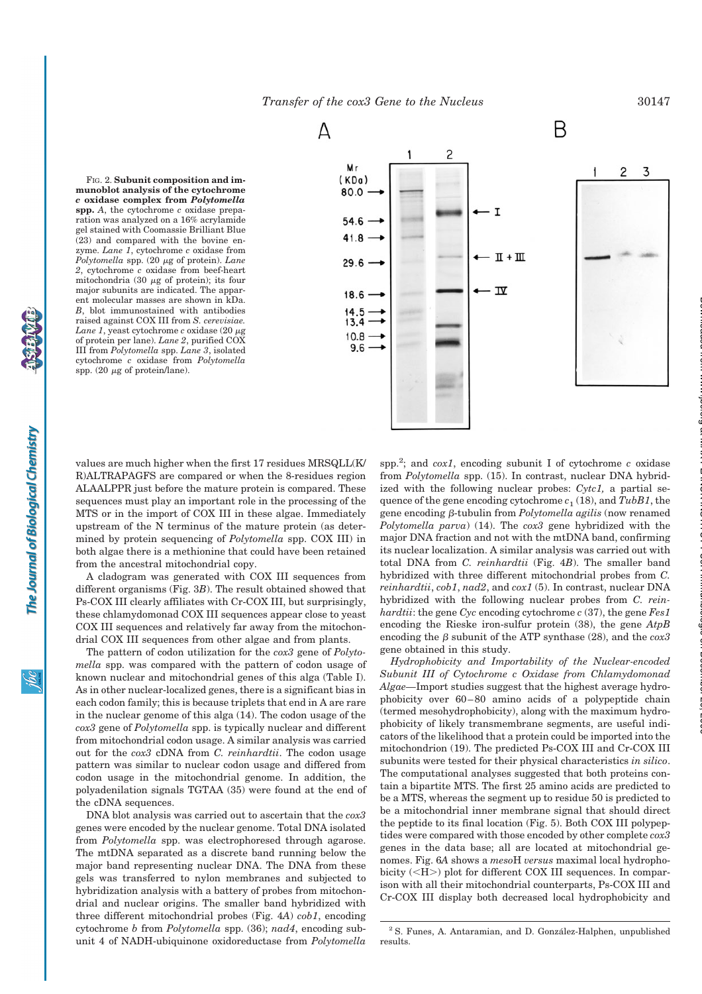*Transfer of the cox3 Gene to the Nucleus* 30147

FIG. 2. **Subunit composition and immunoblot analysis of the cytochrome** *c* **oxidase complex from** *Polytomella* **spp.** *A*, the cytochrome *c* oxidase preparation was analyzed on a 16% acrylamide gel stained with Coomassie Brilliant Blue (23) and compared with the bovine enzyme. *Lane 1*, cytochrome *c* oxidase from *Polytomella* spp. (20 μg of protein). Lane *2*, cytochrome *c* oxidase from beef-heart mitochondria (30  $\mu$ g of protein); its four major subunits are indicated. The apparent molecular masses are shown in kDa. *B*, blot immunostained with antibodies raised against COX III from *S. cerevisiae. Lane*  $1$ , yeast cytochrome  $c$  oxidase (20  $\mu$ g of protein per lane). *Lane 2*, purified COX III from *Polytomella* spp. *Lane 3*, isolated cytochrome *c* oxidase from *Polytomella* spp. (20  $\mu$ g of protein/lane).



values are much higher when the first 17 residues MRSQLL(K/ R)ALTRAPAGFS are compared or when the 8-residues region ALAALPPR just before the mature protein is compared. These sequences must play an important role in the processing of the MTS or in the import of COX III in these algae. Immediately upstream of the N terminus of the mature protein (as determined by protein sequencing of *Polytomella* spp. COX III) in both algae there is a methionine that could have been retained from the ancestral mitochondrial copy.

A cladogram was generated with COX III sequences from different organisms (Fig. 3*B*). The result obtained showed that Ps-COX III clearly affiliates with Cr-COX III, but surprisingly, these chlamydomonad COX III sequences appear close to yeast COX III sequences and relatively far away from the mitochondrial COX III sequences from other algae and from plants.

The pattern of codon utilization for the *cox3* gene of *Polytomella* spp. was compared with the pattern of codon usage of known nuclear and mitochondrial genes of this alga (Table I). As in other nuclear-localized genes, there is a significant bias in each codon family; this is because triplets that end in A are rare in the nuclear genome of this alga (14). The codon usage of the *cox3* gene of *Polytomella* spp. is typically nuclear and different from mitochondrial codon usage. A similar analysis was carried out for the *cox3* cDNA from *C. reinhardtii*. The codon usage pattern was similar to nuclear codon usage and differed from codon usage in the mitochondrial genome. In addition, the polyadenilation signals TGTAA (35) were found at the end of the cDNA sequences.

DNA blot analysis was carried out to ascertain that the *cox3* genes were encoded by the nuclear genome. Total DNA isolated from *Polytomella* spp. was electrophoresed through agarose. The mtDNA separated as a discrete band running below the major band representing nuclear DNA. The DNA from these gels was transferred to nylon membranes and subjected to hybridization analysis with a battery of probes from mitochondrial and nuclear origins. The smaller band hybridized with three different mitochondrial probes (Fig. 4*A*) *cob1*, encoding cytochrome *b* from *Polytomella* spp. (36); *nad4*, encoding subunit 4 of NADH-ubiquinone oxidoreductase from *Polytomella*

spp.2 ; and *cox1*, encoding subunit I of cytochrome *c* oxidase from *Polytomella* spp. (15). In contrast, nuclear DNA hybridized with the following nuclear probes: *Cytc1,* a partial sequence of the gene encoding cytochrome  $c_1$  (18), and *TubB1*, the gene encoding \$-tubulin from *Polytomella agilis* (now renamed *Polytomella parva*) (14). The *cox3* gene hybridized with the major DNA fraction and not with the mtDNA band, confirming its nuclear localization. A similar analysis was carried out with total DNA from *C. reinhardtii* (Fig. 4*B*). The smaller band hybridized with three different mitochondrial probes from *C. reinhardtii*, *cob1*, *nad2*, and *cox1* (5). In contrast, nuclear DNA hybridized with the following nuclear probes from *C. reinhardtii*: the gene *Cyc* encoding cytochrome *c* (37), the gene *Fes1* encoding the Rieske iron-sulfur protein (38), the gene *AtpB* encoding the  $\beta$  subunit of the ATP synthase (28), and the  $c\alpha x3$ gene obtained in this study.

*Hydrophobicity and Importability of the Nuclear-encoded Subunit III of Cytochrome c Oxidase from Chlamydomonad Algae—*Import studies suggest that the highest average hydrophobicity over 60–80 amino acids of a polypeptide chain (termed mesohydrophobicity), along with the maximum hydrophobicity of likely transmembrane segments, are useful indicators of the likelihood that a protein could be imported into the mitochondrion (19). The predicted Ps-COX III and Cr-COX III subunits were tested for their physical characteristics *in silico*. The computational analyses suggested that both proteins contain a bipartite MTS. The first 25 amino acids are predicted to be a MTS, whereas the segment up to residue 50 is predicted to be a mitochondrial inner membrane signal that should direct the peptide to its final location (Fig. 5). Both COX III polypeptides were compared with those encoded by other complete *cox3* genes in the data base; all are located at mitochondrial genomes. Fig. 6*A* shows a *meso*H *versus* maximal local hydrophobicity  $(<\text{H}>$ ) plot for different COX III sequences. In comparison with all their mitochondrial counterparts, Ps-COX III and Cr-COX III display both decreased local hydrophobicity and

<sup>&</sup>lt;sup>2</sup> S. Funes, A. Antaramian, and D. González-Halphen, unpublished results.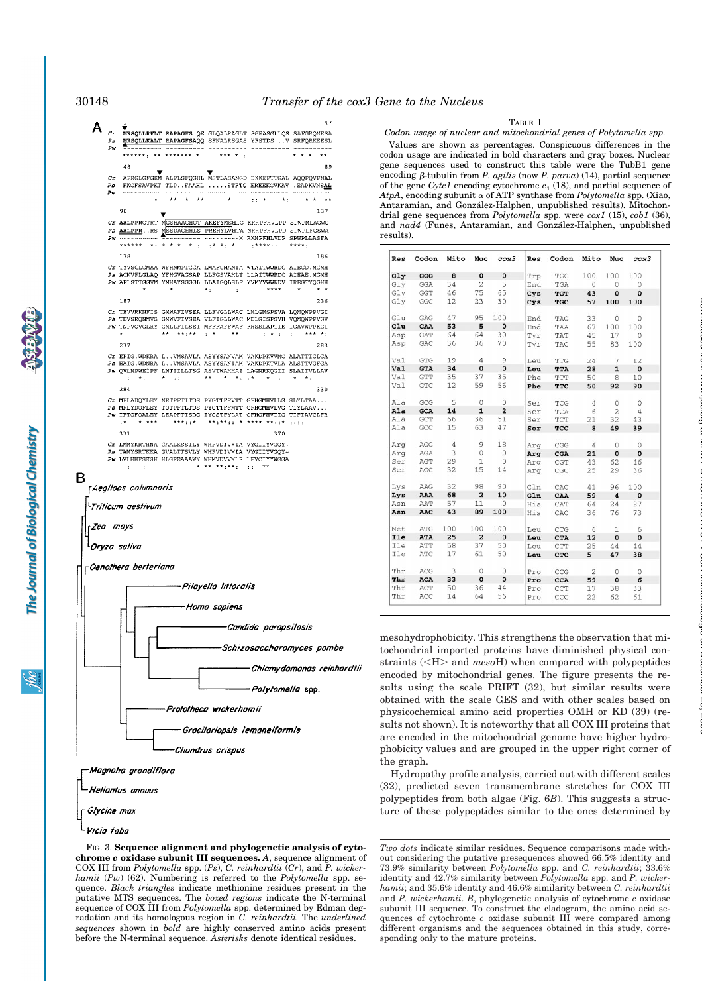47

#### TABLE I

*Codon usage of nuclear and mitochondrial genes of Polytomella spp.*

Values are shown as percentages. Conspicuous differences in the codon usage are indicated in bold characters and gray boxes. Nuclear gene sequences used to construct this table were the TubB1 gene encoding  $\beta$ -tubulin from *P. agilis* (now *P. parva*) (14), partial sequence of the gene *Cytc1* encoding cytochrome  $c_1$  (18), and partial sequence of *AtpA*, encoding subunit  $\alpha$  of ATP synthase from *Polytomella* spp. (Xiao, Antaramian, and González-Halphen, unpublished results). Mitochondrial gene sequences from *Polytomella* spp. were *cox1* (15), *cob1* (36), and *nad4* (Funes, Antaramian, and González-Halphen, unpublished

| Res | Codon                | Mito           | Nuc                     | cos3                     | Res | Codon        |     | Mito Nuc       | cos3            |
|-----|----------------------|----------------|-------------------------|--------------------------|-----|--------------|-----|----------------|-----------------|
| Gly | GGG                  | 8              | $\pmb{0}$               | $\pmb{0}$                | Trp | TGG          | 100 | 100            | 100             |
| Gly | GGA                  | 34             | 2                       | 5                        | End | TGA          | 0   | 0              | 0               |
| Glv | GGT                  | 46             | 75                      | 65                       | Cys | <b>TGT</b>   | 43  | $\mathbf 0$    | $\pmb{0}$       |
| Gly | GGC                  | 12             | 23                      | 30                       | Cys | TGC          | 57  | 100            | 100             |
| Glu | GAG                  | 47             | 95                      | 100                      | End | TAG          | 33  | 0              | 0               |
| Glu | GAA                  | 53             | 5                       | $\overline{\mathbf{0}}$  | End | TAA          | 67  | 100            | 100             |
| Asp | GAT                  | 64             | 64                      | 30                       | Tyr | TAT          | 45  | 17             | $\circ$         |
| Asp | GAC                  | 36             | 36                      | 70                       | Tyr | TAC          | 55  | 83             | 100             |
| Val | GTG                  | 19             | 4                       | 9                        | Leu | TTG          | 24  | 7              | 12              |
| Val | <b>GTA</b>           | 34             | $\mathbf 0$             | $\overline{\mathbf{0}}$  | Leu | TTA          | 28  | $\mathbf 1$    | $\mathbf 0$     |
| Val | GTT                  | 35             | 37                      | 35                       | Phe | TTT          | 50  | 8              | 10              |
| Val | ${\rm GTC}$          | 12             | 59                      | 56                       | Phe | <b>TTC</b>   | 50  | 92             | 90              |
| Ala | GCG                  | 5              | $\circ$                 | $\circ$                  | Ser | TCG          | 4   | 0              | 0               |
| Ala | <b>GCA</b>           | 14             | $\mathbf 1$             | $\overline{\mathbf{2}}$  | Ser | TCA          | 6   | $\overline{2}$ | $\underline{4}$ |
| Ala | GCT                  | 66             | 36                      | 51                       | Ser | $_{\rm TCT}$ | 21  | 32             | 43              |
| Ala | GCC                  | 15             | 63                      | 47                       | Ser | TCC          | 8   | 49             | 39              |
| Arq | AGG                  | $\overline{4}$ | 9                       | 18                       | Arg | CGG          | 4   | $\circ$        | 0               |
| Arq | AGA                  | 3              | $\circ$                 | $\overline{0}$           | Arg | CGA          | 21  | $\mathbf{0}$   | $\mathbf 0$     |
| Ser | AGT                  | 29             | 1                       | $\circ$                  | Arg | CGT          | 43  | 62             | 46              |
| Ser | AGC                  | 32             | 15                      | 14                       | Arg | $_{\rm CGC}$ | 25  | 29             | 36              |
| Lys | AAG                  | 32             | 98                      | 90                       | Gln | CAG          | 41  | 96             | 100             |
| Lys | AAA                  | 68             | $\overline{\mathbf{2}}$ | 10                       | GLn | CAA          | 59  | $\bf{4}$       | $\mathbf 0$     |
| Asn | AAT                  | 57             | 11                      | $\overline{0}$           | His | CAT          | 64  | 24             | 27              |
| Asn | AAC                  | 43             | 89                      | 100                      | His | CAC          | 36  | 76             | 73              |
| Met | ATG                  | 100            | 100                     | 100                      | Leu | $_{\rm CTG}$ | 6   | 1              | 6               |
| Ile | <b>ATA</b>           | 25             | $\overline{a}$          | $\overline{\phantom{0}}$ | Leu | <b>CTA</b>   | 12  | $\mathbf{o}$   | $\pmb{0}$       |
| Ile | ATT                  | 58             | 37                      | 50                       | Leu | CTT          | 25  | 44             | 44              |
| Ile | $\operatorname{ATC}$ | 17             | 61                      | 50                       | Leu | CTC          | 5   | 47             | 38              |
| Thr | ACG                  | 3              | 0                       | 0                        | Pro | CCG          | 2   | 0              | 0               |
| Thr | ACA                  | 33             | $\mathbf 0$             | $\overline{\mathbf{0}}$  | Pro | CCA          | 59  | $\mathbf 0$    | 6               |
| Thr | ACT                  | 50             | 36                      | 44                       | Pro | CCT          | 17  | 38             | 33              |
| Thr | ACC                  | 14             | 64                      | 56                       | Pro | CCC          | 22  | 62             | 61              |

at MAX PLANCK INSTITUT FUeR Immunbiologie on December 20, 2006 www.jbc.org Downloaded from

mesohydrophobicity. This strengthens the observation that mitochondrial imported proteins have diminished physical constraints (<H> and *meso*H) when compared with polypeptides encoded by mitochondrial genes. The figure presents the results using the scale PRIFT (32), but similar results were obtained with the scale GES and with other scales based on physicochemical amino acid properties OMH or KD (39) (results not shown). It is noteworthy that all COX III proteins that are encoded in the mitochondrial genome have higher hydrophobicity values and are grouped in the upper right corner of the graph.

Hydropathy profile analysis, carried out with different scales (32), predicted seven transmembrane stretches for COX III polypeptides from both algae (Fig. 6*B*). This suggests a structure of these polypeptides similar to the ones determined by

*Two dots* indicate similar residues. Sequence comparisons made without considering the putative presequences showed 66.5% identity and 73.9% similarity between *Polytomella* spp. and *C. reinhardtii*; 33.6% identity and 42.7% similarity between *Polytomella* spp. and *P. wickerhamii*; and 35.6% identity and 46.6% similarity between *C. reinhardtii* and *P. wickerhamii*. *B*, phylogenetic analysis of cytochrome *c* oxidase subunit III sequence. To construct the cladogram, the amino acid sequences of cytochrome *c* oxidase subunit III were compared among different organisms and the sequences obtained in this study, corresponding only to the mature proteins.



**chrome** *c* **oxidase subunit III sequences.** *A*, sequence alignment of COX III from *Polytomella* spp. (*Ps*), *C. reinhardtii* (*Cr*), and *P. wickerhamii* (*Pw*) (62). Numbering is referred to the *Polytomella* spp. sequence. *Black triangles* indicate methionine residues present in the putative MTS sequences. The *boxed regions* indicate the N-terminal sequence of COX III from *Polytomella* spp. determined by Edman degradation and its homologous region in *C. reinhardtii.* The *underlined sequences* shown in *bold* are highly conserved amino acids present before the N-terminal sequence. *Asterisks* denote identical residues.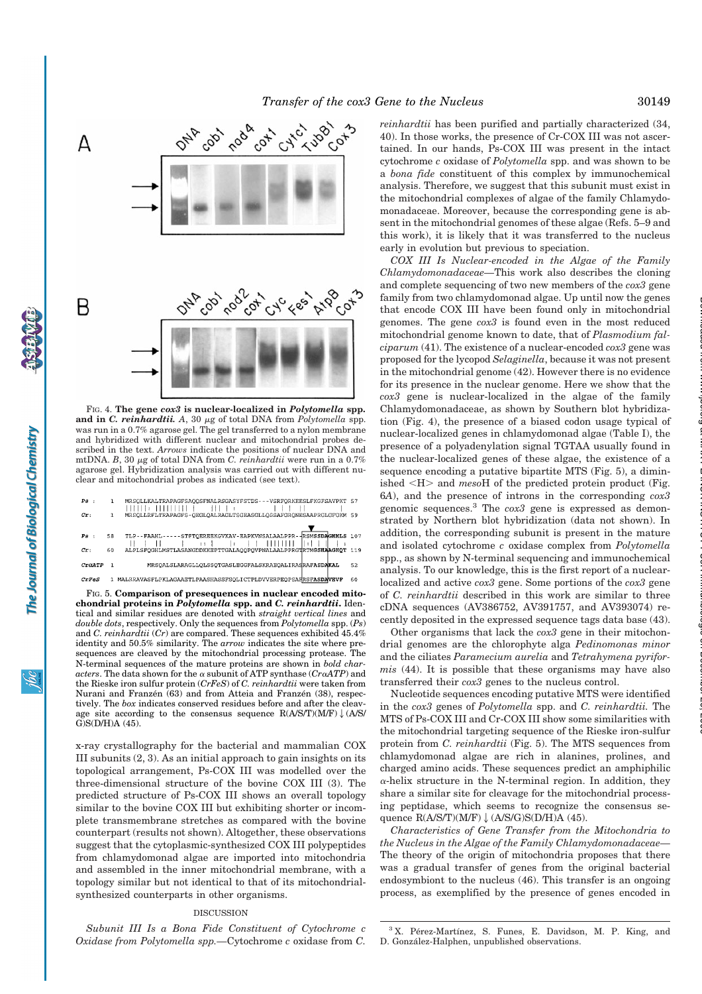

FIG. 4. **The gene** *cox3* **is nuclear-localized in** *Polytomella* **spp.** and in *C. reinhardtii.* A, 30  $\mu$ g of total DNA from *Polytomella* spp. was run in a 0.7% agarose gel. The gel transferred to a nylon membrane and hybridized with different nuclear and mitochondrial probes described in the text. *Arrows* indicate the positions of nuclear DNA and mtDNA.  $B$ , 30  $\mu$ g of total DNA from *C. reinhardtii* were run in a 0.7% agarose gel. Hybridization analysis was carried out with different nuclear and mitochondrial probes as indicated (see text).

| Ps :        |    | MRSQLLKALTRAPAGFSAQQSFNALRSGASYFSTDS - -- VSRFQRKEESLFKGFSAVPKT 57<br>$+$ $+$ $ +$ $ +$ $ +$ $ -$ |    |
|-------------|----|---------------------------------------------------------------------------------------------------|----|
| cr:         |    | MRSOLLRFLTRAPAGFS-OEGLOALRAGLTSGEASGLLOSSAFGRONESAAPRGLGFGKM 59                                   |    |
|             |    |                                                                                                   |    |
| Ps:         | 58 | TLP--FAAHL-----STFTQEREEKGVKAV-EAPKVNSALAALPPR--RSMSSDAGHHLS 107                                  |    |
| cr:         | 60 | ALPLSFOGHLMSTLASANGDDKKEPTTGALAOOPOVPNALAALPPRGTRTMGSHAAGHOT 119                                  |    |
| $C_{L}0ATP$ |    | MRSOALSLARAGLLOLSSOTGASLEGGFALSKRAEOALIRASRAFASDAKAL                                              | 52 |
| CrFeS       |    | 1 MALRRAVASFLPKLAGAAETLPAASHASSFSOLICTPLDVVERPEOPSAFRSF <b>ASDAVEVF</b>                           | 60 |

FIG. 5. **Comparison of presequences in nuclear encoded mitochondrial proteins in** *Polytomella* **spp. and** *C. reinhardtii***.** Identical and similar residues are denoted with *straight vertical lines* and *double dots*, respectively. Only the sequences from *Polytomella* spp. (*Ps*) and *C. reinhardtii* (*Cr*) are compared. These sequences exhibited 45.4% identity and 50.5% similarity. The *arrow* indicates the site where presequences are cleaved by the mitochondrial processing protease. The N-terminal sequences of the mature proteins are shown in *bold char* $actors.$  The data shown for the  $\alpha$  subunit of ATP synthase  $(Cr\alpha ATP)$  and the Rieske iron sulfur protein (*CrFeS*) of *C. reinhardtii* were taken from Nurani and Franzen  $(63)$  and from Atteia and Franzen  $(38)$ , respectively. The *box* indicates conserved residues before and after the cleavage site according to the consensus sequence  $R(A/S/T)(M/F) \downarrow (A/S/T)$ G)S(D/H)A (45).

x-ray crystallography for the bacterial and mammalian COX III subunits (2, 3). As an initial approach to gain insights on its topological arrangement, Ps-COX III was modelled over the three-dimensional structure of the bovine COX III (3). The predicted structure of Ps-COX III shows an overall topology similar to the bovine COX III but exhibiting shorter or incomplete transmembrane stretches as compared with the bovine counterpart (results not shown). Altogether, these observations suggest that the cytoplasmic-synthesized COX III polypeptides from chlamydomonad algae are imported into mitochondria and assembled in the inner mitochondrial membrane, with a topology similar but not identical to that of its mitochondrialsynthesized counterparts in other organisms.

#### DISCUSSION

*Subunit III Is a Bona Fide Constituent of Cytochrome c Oxidase from Polytomella spp.—*Cytochrome *c* oxidase from *C.*

*reinhardtii* has been purified and partially characterized (34, 40). In those works, the presence of Cr-COX III was not ascertained. In our hands, Ps-COX III was present in the intact cytochrome *c* oxidase of *Polytomella* spp. and was shown to be a *bona fide* constituent of this complex by immunochemical analysis. Therefore, we suggest that this subunit must exist in the mitochondrial complexes of algae of the family Chlamydomonadaceae. Moreover, because the corresponding gene is absent in the mitochondrial genomes of these algae (Refs. 5–9 and this work), it is likely that it was transferred to the nucleus early in evolution but previous to speciation.

*COX III Is Nuclear-encoded in the Algae of the Family Chlamydomonadaceae—*This work also describes the cloning and complete sequencing of two new members of the *cox3* gene family from two chlamydomonad algae. Up until now the genes that encode COX III have been found only in mitochondrial genomes. The gene *cox3* is found even in the most reduced mitochondrial genome known to date, that of *Plasmodium falciparum* (41). The existence of a nuclear-encoded *cox3* gene was proposed for the lycopod *Selaginella*, because it was not present in the mitochondrial genome (42). However there is no evidence for its presence in the nuclear genome. Here we show that the *cox3* gene is nuclear-localized in the algae of the family Chlamydomonadaceae, as shown by Southern blot hybridization (Fig. 4), the presence of a biased codon usage typical of nuclear-localized genes in chlamydomonad algae (Table I), the presence of a polyadenylation signal TGTAA usually found in the nuclear-localized genes of these algae, the existence of a sequence encoding a putative bipartite MTS (Fig. 5), a diminished <H> and *mesoH* of the predicted protein product (Fig. 6*A*), and the presence of introns in the corresponding *cox3* genomic sequences.<sup>3</sup> The *cox3* gene is expressed as demonstrated by Northern blot hybridization (data not shown). In addition, the corresponding subunit is present in the mature and isolated cytochrome *c* oxidase complex from *Polytomella* spp., as shown by N-terminal sequencing and immunochemical analysis. To our knowledge, this is the first report of a nuclearlocalized and active *cox3* gene. Some portions of the *cox3* gene of *C. reinhardtii* described in this work are similar to three cDNA sequences (AV386752, AV391757, and AV393074) recently deposited in the expressed sequence tags data base (43).

Other organisms that lack the *cox3* gene in their mitochondrial genomes are the chlorophyte alga *Pedinomonas minor* and the ciliates *Paramecium aurelia* and *Tetrahymena pyriformis* (44). It is possible that these organisms may have also transferred their *cox3* genes to the nucleus control.

Nucleotide sequences encoding putative MTS were identified in the *cox3* genes of *Polytomella* spp. and *C. reinhardtii.* The MTS of Ps-COX III and Cr-COX III show some similarities with the mitochondrial targeting sequence of the Rieske iron-sulfur protein from *C. reinhardtii* (Fig. 5). The MTS sequences from chlamydomonad algae are rich in alanines, prolines, and charged amino acids. These sequences predict an amphiphilic  $\alpha$ -helix structure in the N-terminal region. In addition, they share a similar site for cleavage for the mitochondrial processing peptidase, which seems to recognize the consensus sequence  $R(A/S/T)(M/F)$   $\downarrow$  (A/S/G)S(D/H)A (45).

*Characteristics of Gene Transfer from the Mitochondria to the Nucleus in the Algae of the Family Chlamydomonadaceae—* The theory of the origin of mitochondria proposes that there was a gradual transfer of genes from the original bacterial endosymbiont to the nucleus (46). This transfer is an ongoing process, as exemplified by the presence of genes encoded in

<sup>3</sup> X. Pérez-Martínez, S. Funes, E. Davidson, M. P. King, and D. González-Halphen, unpublished observations.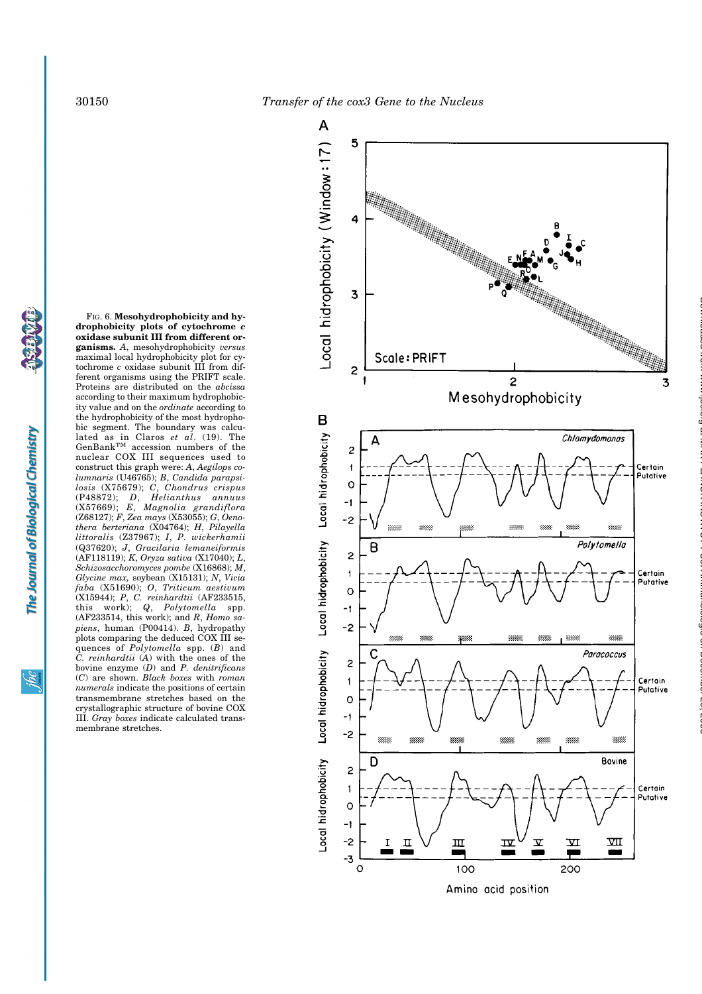

<u>isp</u>

**drophobicity plots of cytochrome** *c* **oxidase subunit III from different organisms.** *A*, mesohydrophobicity *versus* maximal local hydrophobicity plot for cytochrome *c* oxidase subunit III from different organisms using the PRIFT scale. Proteins are distributed on the *abcissa* according to their maximum hydrophobicity value and on the *ordinate* according to the hydrophobicity of the most hydrophobic segment. The boundary was calculated as in Claros *et al*. (19). The  $GenBank^{TM}$  accession numbers of the nuclear COX III sequences used to construct this graph were: *A*, *Aegilops columnaris* (U46765); *B*, *Candida parapsilosis* (X75679); *C*, *Chondrus crispus* (P48872); *D*, *Helianthus annuus* (X57669); *E*, *Magnolia grandiflora* (Z68127); *F*, *Zea mays* (X53055); *G*, *Oenothera berteriana* (X04764); *H*, *Pilayella littoralis* (Z37967); *I*, *P. wickerhamii* (Q37620); *J*, *Gracilaria lemaneiformis* (AF118119); *K*, *Oryza sativa* (X17040); *L*, *Schizosacchoromyces pombe* (X16868); *M*, *Glycine max,* soybean (X15131); *N*, *Vicia faba* (X51690); *O*, *Triticum aestivum* (X15944); *P*, *C. reinhardtii* (AF233515, this work); *Q*, *Polytomella* spp. (AF233514, this work); and *R*, *Homo sapiens*, human (P00414). *B*, hydropathy plots comparing the deduced COX III sequences of *Polytomella* spp. (*B*) and *C. reinhardtii* (*A*) with the ones of the bovine enzyme (*D*) and *P. denitrificans* (*C*) are shown. *Black boxes* with *roman numerals* indicate the positions of certain transmembrane stretches based on the crystallographic structure of bovine COX III. *Gray boxes* indicate calculated trans-

membrane stretches.

FIG. 6. **Mesohydrophobicity and hy-**

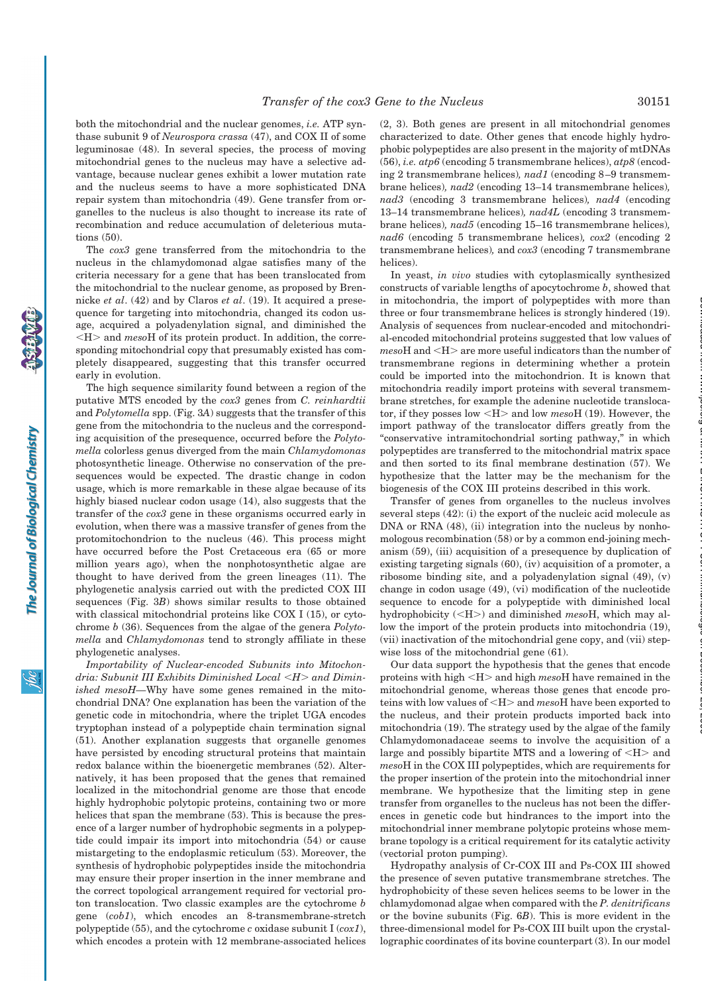both the mitochondrial and the nuclear genomes, *i.e.* ATP synthase subunit 9 of *Neurospora crassa* (47), and COX II of some leguminosae (48). In several species, the process of moving mitochondrial genes to the nucleus may have a selective advantage, because nuclear genes exhibit a lower mutation rate and the nucleus seems to have a more sophisticated DNA repair system than mitochondria (49). Gene transfer from organelles to the nucleus is also thought to increase its rate of recombination and reduce accumulation of deleterious mutations (50).

The *cox3* gene transferred from the mitochondria to the nucleus in the chlamydomonad algae satisfies many of the criteria necessary for a gene that has been translocated from the mitochondrial to the nuclear genome, as proposed by Brennicke *et al*. (42) and by Claros *et al*. (19). It acquired a presequence for targeting into mitochondria, changed its codon usage, acquired a polyadenylation signal, and diminished the  $\langle H \rangle$  and *meso*H of its protein product. In addition, the corresponding mitochondrial copy that presumably existed has completely disappeared, suggesting that this transfer occurred early in evolution.

The high sequence similarity found between a region of the putative MTS encoded by the *cox3* genes from *C. reinhardtii* and *Polytomella* spp. (Fig. 3*A*) suggests that the transfer of this gene from the mitochondria to the nucleus and the corresponding acquisition of the presequence, occurred before the *Polytomella* colorless genus diverged from the main *Chlamydomonas* photosynthetic lineage. Otherwise no conservation of the presequences would be expected. The drastic change in codon usage, which is more remarkable in these algae because of its highly biased nuclear codon usage (14), also suggests that the transfer of the *cox3* gene in these organisms occurred early in evolution, when there was a massive transfer of genes from the protomitochondrion to the nucleus (46). This process might have occurred before the Post Cretaceous era (65 or more million years ago), when the nonphotosynthetic algae are thought to have derived from the green lineages (11). The phylogenetic analysis carried out with the predicted COX III sequences (Fig. 3*B*) shows similar results to those obtained with classical mitochondrial proteins like COX I (15), or cytochrome *b* (36). Sequences from the algae of the genera *Polytomella* and *Chlamydomonas* tend to strongly affiliate in these phylogenetic analyses.

*Importability of Nuclear-encoded Subunits into Mitochondria: Subunit III Exhibits Diminished Local* !*H*" *and Diminished mesoH—*Why have some genes remained in the mitochondrial DNA? One explanation has been the variation of the genetic code in mitochondria, where the triplet UGA encodes tryptophan instead of a polypeptide chain termination signal (51). Another explanation suggests that organelle genomes have persisted by encoding structural proteins that maintain redox balance within the bioenergetic membranes (52). Alternatively, it has been proposed that the genes that remained localized in the mitochondrial genome are those that encode highly hydrophobic polytopic proteins, containing two or more helices that span the membrane (53). This is because the presence of a larger number of hydrophobic segments in a polypeptide could impair its import into mitochondria (54) or cause mistargeting to the endoplasmic reticulum (53). Moreover, the synthesis of hydrophobic polypeptides inside the mitochondria may ensure their proper insertion in the inner membrane and the correct topological arrangement required for vectorial proton translocation. Two classic examples are the cytochrome *b* gene (*cob1*), which encodes an 8-transmembrane-stretch polypeptide (55), and the cytochrome *c* oxidase subunit I (*cox1*), which encodes a protein with 12 membrane-associated helices (2, 3). Both genes are present in all mitochondrial genomes characterized to date. Other genes that encode highly hydrophobic polypeptides are also present in the majority of mtDNAs (56), *i.e. atp6* (encoding 5 transmembrane helices), *atp8* (encoding 2 transmembrane helices)*, nad1* (encoding 8–9 transmembrane helices)*, nad2* (encoding 13–14 transmembrane helices)*, nad3* (encoding 3 transmembrane helices)*, nad4* (encoding 13–14 transmembrane helices)*, nad4L* (encoding 3 transmembrane helices)*, nad5* (encoding 15–16 transmembrane helices)*, nad6* (encoding 5 transmembrane helices)*, cox2* (encoding 2 transmembrane helices)*,* and *cox3* (encoding 7 transmembrane helices).

In yeast, *in vivo* studies with cytoplasmically synthesized constructs of variable lengths of apocytochrome *b*, showed that in mitochondria, the import of polypeptides with more than three or four transmembrane helices is strongly hindered (19). Analysis of sequences from nuclear-encoded and mitochondrial-encoded mitochondrial proteins suggested that low values of mesoH and <H> are more useful indicators than the number of transmembrane regions in determining whether a protein could be imported into the mitochondrion. It is known that mitochondria readily import proteins with several transmembrane stretches, for example the adenine nucleotide translocator, if they posses low !H" and low *meso*H (19). However, the import pathway of the translocator differs greatly from the "conservative intramitochondrial sorting pathway," in which polypeptides are transferred to the mitochondrial matrix space and then sorted to its final membrane destination (57). We hypothesize that the latter may be the mechanism for the biogenesis of the COX III proteins described in this work.

Transfer of genes from organelles to the nucleus involves several steps (42): (i) the export of the nucleic acid molecule as DNA or RNA  $(48)$ ,  $(ii)$  integration into the nucleus by nonhomologous recombination (58) or by a common end-joining mechanism (59), (iii) acquisition of a presequence by duplication of existing targeting signals (60), (iv) acquisition of a promoter, a ribosome binding site, and a polyadenylation signal (49), (v) change in codon usage (49), (vi) modification of the nucleotide sequence to encode for a polypeptide with diminished local hydrophobicity (<H>) and diminished *mesoH*, which may allow the import of the protein products into mitochondria (19), (vii) inactivation of the mitochondrial gene copy, and (vii) stepwise loss of the mitochondrial gene (61).

Our data support the hypothesis that the genes that encode proteins with high !H" and high *meso*H have remained in the mitochondrial genome, whereas those genes that encode proteins with low values of <H> and *mesoH* have been exported to the nucleus, and their protein products imported back into mitochondria (19). The strategy used by the algae of the family Chlamydomonadaceae seems to involve the acquisition of a large and possibly bipartite MTS and a lowering of  $\langle H \rangle$  and *meso*H in the COX III polypeptides, which are requirements for the proper insertion of the protein into the mitochondrial inner membrane. We hypothesize that the limiting step in gene transfer from organelles to the nucleus has not been the differences in genetic code but hindrances to the import into the mitochondrial inner membrane polytopic proteins whose membrane topology is a critical requirement for its catalytic activity (vectorial proton pumping).

Hydropathy analysis of Cr-COX III and Ps-COX III showed the presence of seven putative transmembrane stretches. The hydrophobicity of these seven helices seems to be lower in the chlamydomonad algae when compared with the *P. denitrificans* or the bovine subunits (Fig. 6*B*). This is more evident in the three-dimensional model for Ps-COX III built upon the crystallographic coordinates of its bovine counterpart (3). In our model